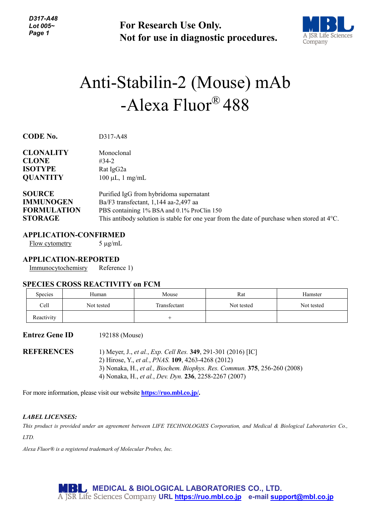*D317-A48 Lot 005~ Page 1*

**For Research Use Only. Not for use in diagnostic procedures.**



# Anti-Stabilin-2 (Mouse) mAb -Alexa Fluor® 488

**CODE No.** D317-A48

| <b>CLONALITY</b>   | Monoclonal                                 |
|--------------------|--------------------------------------------|
| <b>CLONE</b>       | #34-2                                      |
| <b>ISOTYPE</b>     | Rat IgG2a                                  |
| <b>QUANTITY</b>    | $100 \mu L$ , 1 mg/mL                      |
| <b>SOURCE</b>      | Purified IgG from hybridoma supernatant    |
| <b>IMMUNOGEN</b>   | Ba/F3 transfectant, 1,144 aa-2,497 aa      |
| <b>FORMULATION</b> | PBS containing 1% BSA and 0.1% ProClin 150 |

**STORAGE** This antibody solution is stable for one year from the date of purchase when stored at 4°C.

## **APPLICATION-CONFIRMED**

Flow cytometry  $5 \mu g/mL$ 

## **APPLICATION-REPORTED**

Immunocytochemisry Reference 1)

## **SPECIES CROSS REACTIVITY on FCM**

| Species    | Human      | Mouse        | Rat        | Hamster    |
|------------|------------|--------------|------------|------------|
| Cell       | Not tested | Transfectant | Not tested | Not tested |
| Reactivity |            |              |            |            |

#### **Entrez Gene ID** 192188 (Mouse)

**REFERENCES** 1) Meyer, J., *et al.*, *Exp. Cell Res.* **349**, 291-301 (2016) [IC] 2) Hirose, Y., *et al.*, *PNAS.* **109**, 4263-4268 (2012) 3) Nonaka, H., *et al., Biochem. Biophys. Res. Commun.* **375**, 256-260 (2008) 4) Nonaka, H., *et al.*, *Dev. Dyn.* **236**, 2258-2267 (2007)

For more information, please visit our website **[https://ruo.mbl.co.jp/.](https://ruo.mbl.co.jp/)**

#### *LABEL LICENSES:*

*This product is provided under an agreement between LIFE TECHNOLOGIES Corporation, and Medical & Biological Laboratories Co., LTD.*

*Alexa Fluor® is a registered trademark of Molecular Probes, Inc.*